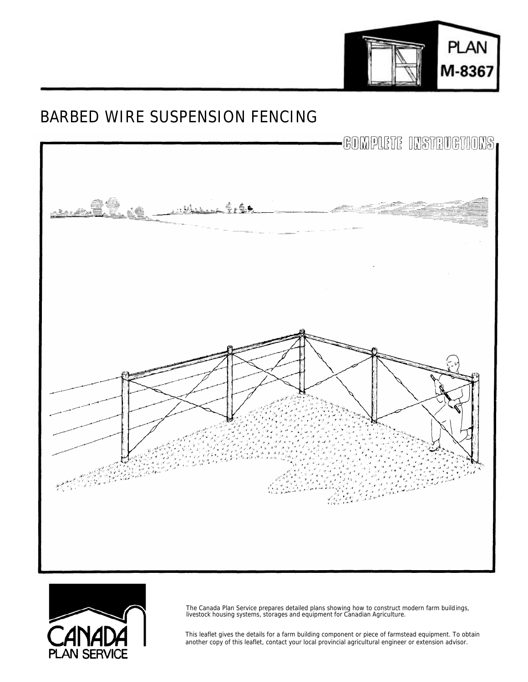

## BARBED WIRE SUSPENSION FENCING





The Canada Plan Service prepares detailed plans showing how to construct modern farm buildings, livestock housing systems, storages and equipment for Canadian Agriculture.

This leaflet gives the details for a farm building component or piece of farmstead equipment. To obtain another copy of this leaflet, contact your local provincial agricultural engineer or extension advisor.